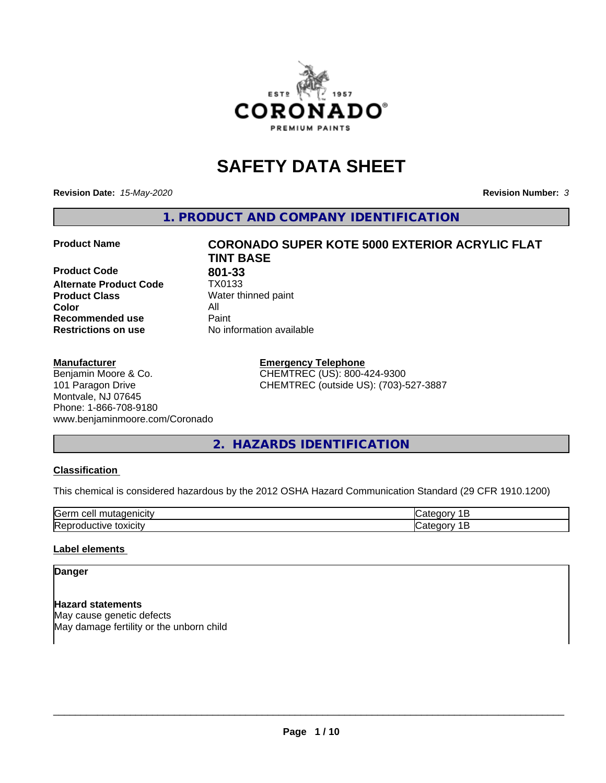

# **SAFETY DATA SHEET**

**Revision Date:** *15-May-2020* **Revision Number:** *3*

**1. PRODUCT AND COMPANY IDENTIFICATION**

**Product Code 801-33**<br>**Alternate Product Code 1X0133 Alternate Product Code Product Class** Water thinned paint<br> **Color** All **Color** All **Recommended use Caint Restrictions on use** No information available

#### **Manufacturer**

Benjamin Moore & Co. 101 Paragon Drive Montvale, NJ 07645 Phone: 1-866-708-9180 www.benjaminmoore.com/Coronado

# **Product Name CORONADO SUPER KOTE 5000 EXTERIOR ACRYLIC FLAT TINT BASE**

**Emergency Telephone** CHEMTREC (US): 800-424-9300 CHEMTREC (outside US): (703)-527-3887

# **2. HAZARDS IDENTIFICATION**

#### **Classification**

This chemical is considered hazardous by the 2012 OSHA Hazard Communication Standard (29 CFR 1910.1200)

| <b>Gerr</b><br>       |  |
|-----------------------|--|
| חו<br>.<br><b>IRA</b> |  |

#### **Label elements**

## **Danger**

**Hazard statements** May cause genetic defects May damage fertility or the unborn child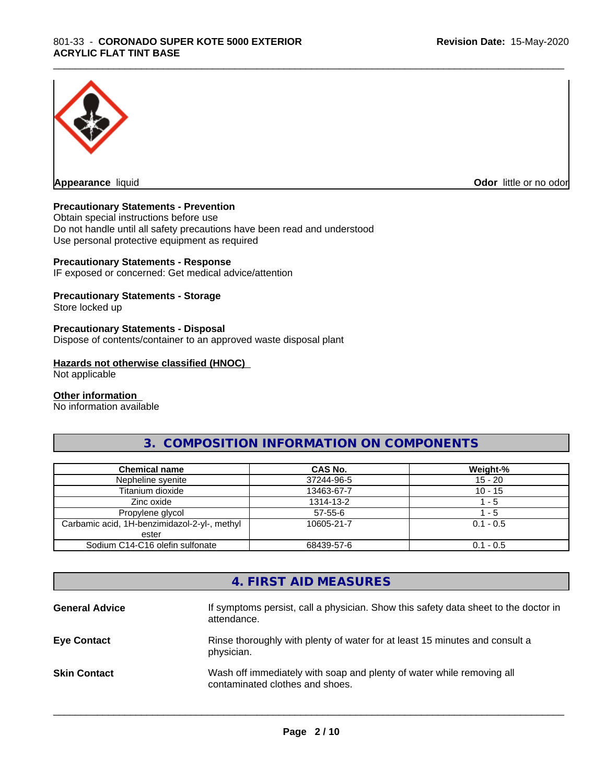

**Appearance** liquid **Odor in the original of the original of the original of the original of the original of the original of the original of the original of the original of the original of the original of the original of t** 

#### **Precautionary Statements - Prevention**

Obtain special instructions before use Do not handle until all safety precautions have been read and understood Use personal protective equipment as required

#### **Precautionary Statements - Response**

IF exposed or concerned: Get medical advice/attention

#### **Precautionary Statements - Storage**

Store locked up

#### **Precautionary Statements - Disposal**

Dispose of contents/container to an approved waste disposal plant

#### **Hazards not otherwise classified (HNOC)**

Not applicable

#### **Other information**

No information available

# **3. COMPOSITION INFORMATION ON COMPONENTS**

\_\_\_\_\_\_\_\_\_\_\_\_\_\_\_\_\_\_\_\_\_\_\_\_\_\_\_\_\_\_\_\_\_\_\_\_\_\_\_\_\_\_\_\_\_\_\_\_\_\_\_\_\_\_\_\_\_\_\_\_\_\_\_\_\_\_\_\_\_\_\_\_\_\_\_\_\_\_\_\_\_\_\_\_\_\_\_\_\_\_\_\_\_

| <b>Chemical name</b>                         | CAS No.    | Weight-%    |
|----------------------------------------------|------------|-------------|
| Nepheline syenite                            | 37244-96-5 | $15 - 20$   |
| Titanium dioxide                             | 13463-67-7 | $10 - 15$   |
| Zinc oxide                                   | 1314-13-2  | - 5         |
| Propylene glycol                             | 57-55-6    | - 5         |
| Carbamic acid, 1H-benzimidazol-2-yl-, methyl | 10605-21-7 | $0.1 - 0.5$ |
| ester                                        |            |             |
| Sodium C14-C16 olefin sulfonate              | 68439-57-6 | $0.1 - 0.5$ |

# **4. FIRST AID MEASURES**

| <b>General Advice</b> | If symptoms persist, call a physician. Show this safety data sheet to the doctor in<br>attendance.       |
|-----------------------|----------------------------------------------------------------------------------------------------------|
| <b>Eye Contact</b>    | Rinse thoroughly with plenty of water for at least 15 minutes and consult a<br>physician.                |
| <b>Skin Contact</b>   | Wash off immediately with soap and plenty of water while removing all<br>contaminated clothes and shoes. |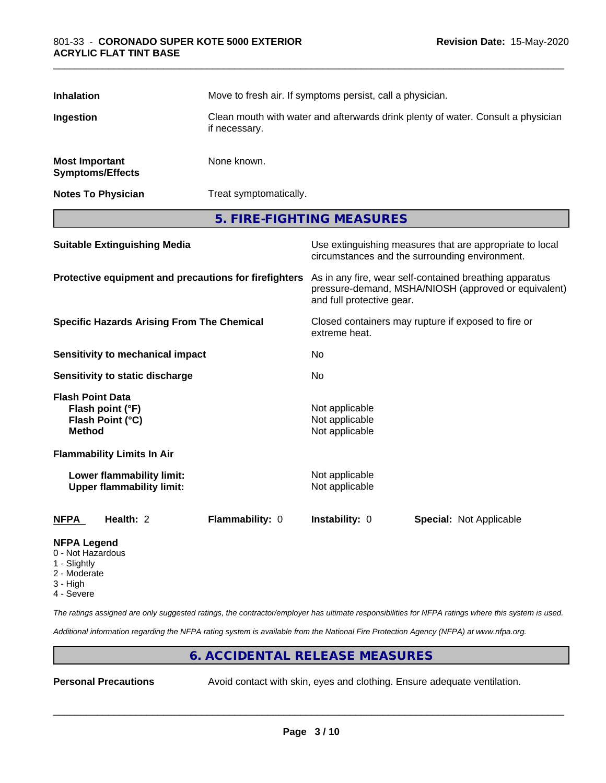| <b>Inhalation</b>                                          |                                                               | Move to fresh air. If symptoms persist, call a physician.            |                                                                                                                                              |                                                                                                            |  |
|------------------------------------------------------------|---------------------------------------------------------------|----------------------------------------------------------------------|----------------------------------------------------------------------------------------------------------------------------------------------|------------------------------------------------------------------------------------------------------------|--|
| Ingestion                                                  |                                                               | if necessary.                                                        | Clean mouth with water and afterwards drink plenty of water. Consult a physician                                                             |                                                                                                            |  |
| <b>Most Important</b>                                      | <b>Symptoms/Effects</b>                                       | None known.                                                          |                                                                                                                                              |                                                                                                            |  |
|                                                            | <b>Notes To Physician</b>                                     | Treat symptomatically.                                               |                                                                                                                                              |                                                                                                            |  |
|                                                            |                                                               |                                                                      | 5. FIRE-FIGHTING MEASURES                                                                                                                    |                                                                                                            |  |
|                                                            | <b>Suitable Extinguishing Media</b>                           |                                                                      |                                                                                                                                              | Use extinguishing measures that are appropriate to local<br>circumstances and the surrounding environment. |  |
| Protective equipment and precautions for firefighters      |                                                               |                                                                      | As in any fire, wear self-contained breathing apparatus<br>pressure-demand, MSHA/NIOSH (approved or equivalent)<br>and full protective gear. |                                                                                                            |  |
| <b>Specific Hazards Arising From The Chemical</b>          |                                                               | Closed containers may rupture if exposed to fire or<br>extreme heat. |                                                                                                                                              |                                                                                                            |  |
| <b>Sensitivity to mechanical impact</b>                    |                                                               | No                                                                   |                                                                                                                                              |                                                                                                            |  |
| Sensitivity to static discharge                            |                                                               | No.                                                                  |                                                                                                                                              |                                                                                                            |  |
| <b>Flash Point Data</b><br><b>Method</b>                   | Flash point (°F)<br>Flash Point (°C)                          |                                                                      | Not applicable<br>Not applicable<br>Not applicable                                                                                           |                                                                                                            |  |
|                                                            | <b>Flammability Limits In Air</b>                             |                                                                      |                                                                                                                                              |                                                                                                            |  |
|                                                            | Lower flammability limit:<br><b>Upper flammability limit:</b> |                                                                      | Not applicable<br>Not applicable                                                                                                             |                                                                                                            |  |
| <b>NFPA</b>                                                | Health: 2                                                     | Flammability: 0                                                      | Instability: 0                                                                                                                               | <b>Special: Not Applicable</b>                                                                             |  |
| <b>NFPA Legend</b><br>0 - Not Hazardous<br>Cliente de la C |                                                               |                                                                      |                                                                                                                                              |                                                                                                            |  |

- 1 Slightly
- 2 Moderate
- 3 High
- 4 Severe

*The ratings assigned are only suggested ratings, the contractor/employer has ultimate responsibilities for NFPA ratings where this system is used.*

*Additional information regarding the NFPA rating system is available from the National Fire Protection Agency (NFPA) at www.nfpa.org.*

# **6. ACCIDENTAL RELEASE MEASURES**

**Personal Precautions** Avoid contact with skin, eyes and clothing. Ensure adequate ventilation.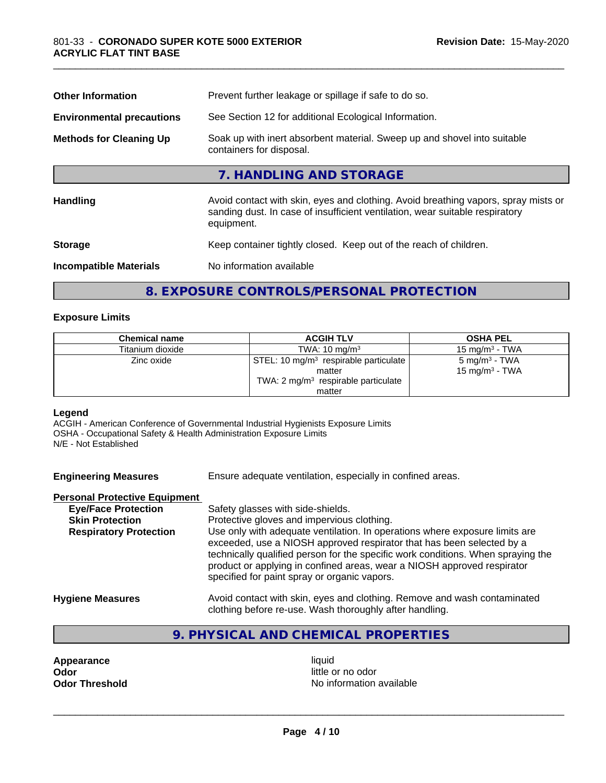| Prevent further leakage or spillage if safe to do so.                                                                                                                            |  |  |
|----------------------------------------------------------------------------------------------------------------------------------------------------------------------------------|--|--|
| See Section 12 for additional Ecological Information.                                                                                                                            |  |  |
| Soak up with inert absorbent material. Sweep up and shovel into suitable<br>containers for disposal.                                                                             |  |  |
| 7. HANDLING AND STORAGE                                                                                                                                                          |  |  |
| Avoid contact with skin, eyes and clothing. Avoid breathing vapors, spray mists or<br>sanding dust. In case of insufficient ventilation, wear suitable respiratory<br>equipment. |  |  |
| Keep container tightly closed. Keep out of the reach of children.                                                                                                                |  |  |
| No information available                                                                                                                                                         |  |  |
|                                                                                                                                                                                  |  |  |

# **8. EXPOSURE CONTROLS/PERSONAL PROTECTION**

#### **Exposure Limits**

| <b>Chemical name</b> | <b>ACGIH TLV</b>                                                                                              | <b>OSHA PEL</b>                                         |
|----------------------|---------------------------------------------------------------------------------------------------------------|---------------------------------------------------------|
| Titanium dioxide     | TWA: $10 \text{ mg/m}^3$                                                                                      | $15 \text{ mg/m}^3$ - TWA                               |
| Zinc oxide           | STEL: 10 mg/m <sup>3</sup> respirable particulate<br>matter<br>TWA: $2 \text{ mg/m}^3$ respirable particulate | 5 mg/m <sup>3</sup> - TWA<br>15 mg/m <sup>3</sup> - TWA |
|                      | matter                                                                                                        |                                                         |

# **Legend**

ACGIH - American Conference of Governmental Industrial Hygienists Exposure Limits OSHA - Occupational Safety & Health Administration Exposure Limits N/E - Not Established

| <b>Engineering Measures</b> | Ensure adequate ventilation, especially in confined areas. |
|-----------------------------|------------------------------------------------------------|
|                             |                                                            |

# **Personal Protective Equipment**

| <b>Eye/Face Protection</b>    | Safety glasses with side-shields.                                                                                                                                                                                                                                                                                                                                   |
|-------------------------------|---------------------------------------------------------------------------------------------------------------------------------------------------------------------------------------------------------------------------------------------------------------------------------------------------------------------------------------------------------------------|
| <b>Skin Protection</b>        | Protective gloves and impervious clothing.                                                                                                                                                                                                                                                                                                                          |
| <b>Respiratory Protection</b> | Use only with adequate ventilation. In operations where exposure limits are<br>exceeded, use a NIOSH approved respirator that has been selected by a<br>technically qualified person for the specific work conditions. When spraying the<br>product or applying in confined areas, wear a NIOSH approved respirator<br>specified for paint spray or organic vapors. |
| Hypiana Magaurac              | Avoid contact with skip, avec and elething. Bemove and wash contaminated                                                                                                                                                                                                                                                                                            |

- **Hygiene Measures** Avoid contact with skin, eyes and clothing. Remove and wash contaminated clothing before re-use. Wash thoroughly after handling.
	- **9. PHYSICAL AND CHEMICAL PROPERTIES**

**Appearance** liquid **and a limitation of the contract of the contract of the contract of the contract of the contract of the contract of the contract of the contract of the contract of the contract of the contract of the c Odor**<br> **Odor Threshold**<br> **Odor Threshold CODOR CODOR CODOR CODOR CODOR CODOR CODOR CODOR CODOR CODOR CODOR** 

**No information available**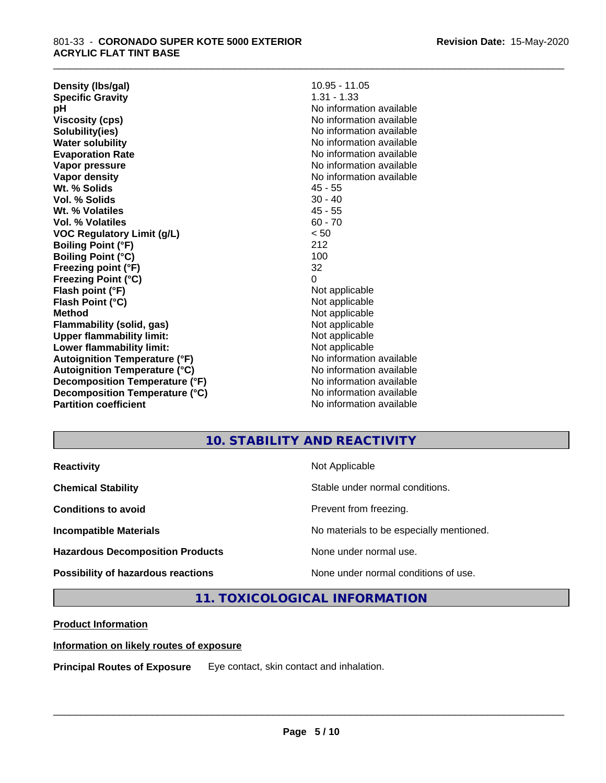**Density (lbs/gal)** 10.95 - 11.05<br> **Specific Gravity** 1.31 - 1.33 **Specific Gravity pH** No information available **Viscosity (cps)** No information available **Solubility(ies)** No information available **Water solubility** No information available **Evaporation Rate** Note 2008 and 2009 No information available **Vapor pressure** No information available in the North American Monte available in the North American available **Vapor density** No information available **Wt. % Solids** 45 - 55 **Vol. % Solids** 30 - 40 **Wt. % Volatiles** 45 - 55 **Vol. % Volatiles** 60 - 70 **VOC Regulatory Limit (g/L)** < 50 **Boiling Point (°F)** 212 **Boiling Point (°C)** 100 **Freezing point (°F)** 32 **Freezing Point (°C)** 0 **Flash point (°F)**<br> **Flash Point (°C)**<br> **Flash Point (°C)**<br> **Not** applicable **Flash Point (°C) Method** Not applicable **Flammability (solid, gas)**<br> **Upper flammability limit:**<br>
Upper flammability limit:<br>  $\begin{array}{ccc}\n\bullet & \bullet & \bullet \\
\bullet & \bullet & \bullet\n\end{array}$  Not applicable **Upper flammability limit:**<br> **Lower flammability limit:**<br>
Not applicable<br>
Not applicable **Lower flammability limit:**<br> **Autoignition Temperature (°F)** Not applicable havailable available **Autoignition Temperature (°F)**<br> **Autoignition Temperature (°C)** No information available **Autoignition Temperature (°C) Decomposition Temperature (°F)** No information available **Decomposition Temperature (°C)**<br> **Partition coefficient**<br> **Partition coefficient**<br> **No** information available

**No information available** 

\_\_\_\_\_\_\_\_\_\_\_\_\_\_\_\_\_\_\_\_\_\_\_\_\_\_\_\_\_\_\_\_\_\_\_\_\_\_\_\_\_\_\_\_\_\_\_\_\_\_\_\_\_\_\_\_\_\_\_\_\_\_\_\_\_\_\_\_\_\_\_\_\_\_\_\_\_\_\_\_\_\_\_\_\_\_\_\_\_\_\_\_\_

# **10. STABILITY AND REACTIVITY**

| <b>Reactivity</b>                       | Not Applicable                           |
|-----------------------------------------|------------------------------------------|
| <b>Chemical Stability</b>               | Stable under normal conditions.          |
| <b>Conditions to avoid</b>              | Prevent from freezing.                   |
| <b>Incompatible Materials</b>           | No materials to be especially mentioned. |
| <b>Hazardous Decomposition Products</b> | None under normal use.                   |
| Possibility of hazardous reactions      | None under normal conditions of use.     |

**11. TOXICOLOGICAL INFORMATION**

## **Product Information**

## **Information on likely routes of exposure**

**Principal Routes of Exposure** Eye contact, skin contact and inhalation.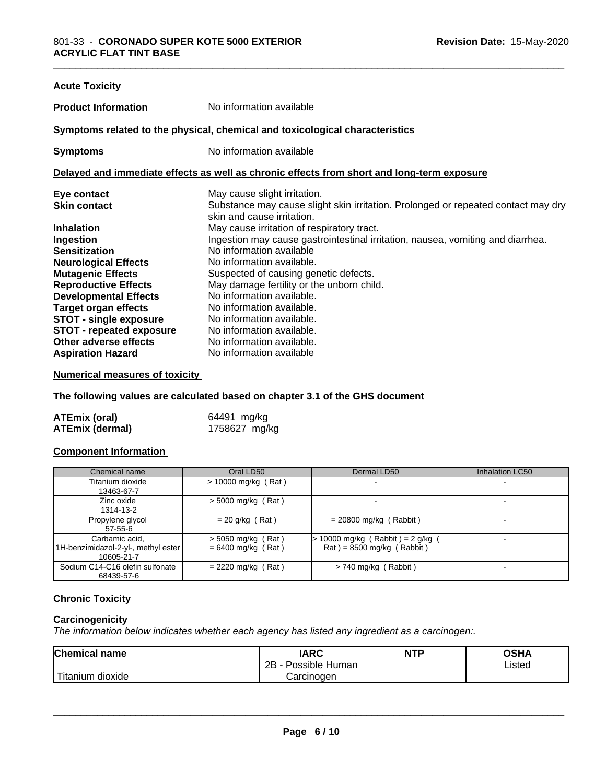| <b>Acute Toxicity</b>           |                                                                                                                 |
|---------------------------------|-----------------------------------------------------------------------------------------------------------------|
| <b>Product Information</b>      | No information available                                                                                        |
|                                 | Symptoms related to the physical, chemical and toxicological characteristics                                    |
| <b>Symptoms</b>                 | No information available                                                                                        |
|                                 | Delayed and immediate effects as well as chronic effects from short and long-term exposure                      |
| Eye contact                     | May cause slight irritation.                                                                                    |
| <b>Skin contact</b>             | Substance may cause slight skin irritation. Prolonged or repeated contact may dry<br>skin and cause irritation. |
| <b>Inhalation</b>               | May cause irritation of respiratory tract.                                                                      |
| Ingestion                       | Ingestion may cause gastrointestinal irritation, nausea, vomiting and diarrhea.                                 |
| <b>Sensitization</b>            | No information available                                                                                        |
| <b>Neurological Effects</b>     | No information available.                                                                                       |
| <b>Mutagenic Effects</b>        | Suspected of causing genetic defects.                                                                           |
| <b>Reproductive Effects</b>     | May damage fertility or the unborn child.                                                                       |
| <b>Developmental Effects</b>    | No information available.                                                                                       |
| <b>Target organ effects</b>     | No information available.                                                                                       |
| STOT - single exposure          | No information available.                                                                                       |
| <b>STOT - repeated exposure</b> | No information available.                                                                                       |
| Other adverse effects           | No information available.                                                                                       |
| <b>Aspiration Hazard</b>        | No information available                                                                                        |

#### **Numerical measures of toxicity**

**The following values are calculated based on chapter 3.1 of the GHS document**

| <b>ATEmix (oral)</b>   | 64491 mg/kg   |
|------------------------|---------------|
| <b>ATEmix (dermal)</b> | 1758627 mg/kg |

#### **Component Information**

| Chemical name                                                       | Oral LD50                                    | Dermal LD50                                                        | Inhalation LC50 |
|---------------------------------------------------------------------|----------------------------------------------|--------------------------------------------------------------------|-----------------|
| Titanium dioxide<br>13463-67-7                                      | $> 10000$ mg/kg (Rat)                        |                                                                    |                 |
| Zinc oxide<br>1314-13-2                                             | $>$ 5000 mg/kg (Rat)                         |                                                                    |                 |
| Propylene glycol<br>57-55-6                                         | $= 20$ g/kg (Rat)                            | $= 20800$ mg/kg (Rabbit)                                           |                 |
| Carbamic acid,<br>1H-benzimidazol-2-yl-, methyl ester<br>10605-21-7 | $>$ 5050 mg/kg (Rat)<br>$= 6400$ mg/kg (Rat) | $> 10000$ mg/kg (Rabbit) = 2 g/kg (<br>$Rat$ = 8500 mg/kg (Rabbit) |                 |
| Sodium C14-C16 olefin sulfonate<br>68439-57-6                       | $= 2220$ mg/kg (Rat)                         | $> 740$ mg/kg (Rabbit)                                             |                 |

# **Chronic Toxicity**

#### **Carcinogenicity**

*The information below indicateswhether each agency has listed any ingredient as a carcinogen:.*

| <b>Chemical name</b>                                                                                                                                                                                                                                         | <b>IARC</b>                    | <b>NTP</b> | OSHA   |  |
|--------------------------------------------------------------------------------------------------------------------------------------------------------------------------------------------------------------------------------------------------------------|--------------------------------|------------|--------|--|
|                                                                                                                                                                                                                                                              | . .<br>2B<br>Possible<br>Human |            | Listed |  |
| <b>The Contract of the Contract of the Contract of the Contract of The Contract of The Contract of The Contract of The Contract of The Contract of The Contract of The Contract of The Contract of The Contract of The Contract </b><br>dioxide<br>l ıtanıum | Carcinogen                     |            |        |  |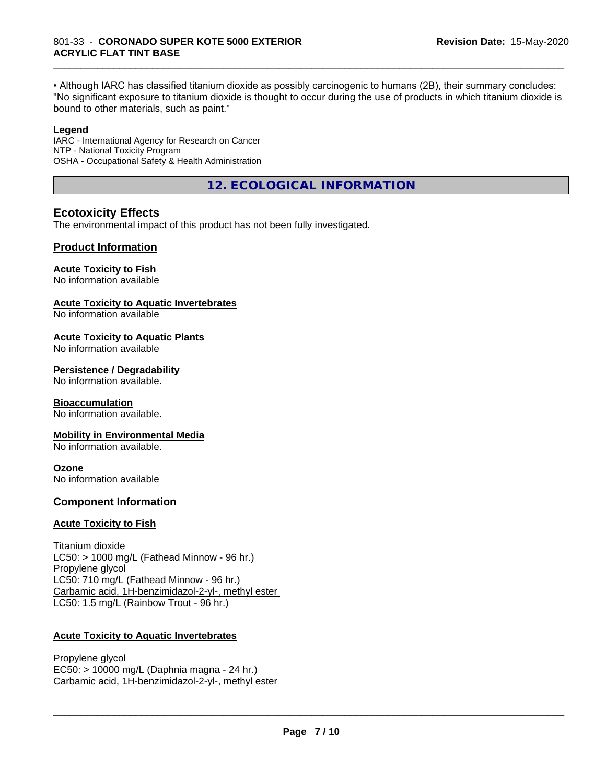• Although IARC has classified titanium dioxide as possibly carcinogenic to humans (2B), their summary concludes: "No significant exposure to titanium dioxide is thought to occur during the use of products in which titanium dioxide is bound to other materials, such as paint."

\_\_\_\_\_\_\_\_\_\_\_\_\_\_\_\_\_\_\_\_\_\_\_\_\_\_\_\_\_\_\_\_\_\_\_\_\_\_\_\_\_\_\_\_\_\_\_\_\_\_\_\_\_\_\_\_\_\_\_\_\_\_\_\_\_\_\_\_\_\_\_\_\_\_\_\_\_\_\_\_\_\_\_\_\_\_\_\_\_\_\_\_\_

#### **Legend**

IARC - International Agency for Research on Cancer NTP - National Toxicity Program OSHA - Occupational Safety & Health Administration

**12. ECOLOGICAL INFORMATION**

## **Ecotoxicity Effects**

The environmental impact of this product has not been fully investigated.

## **Product Information**

#### **Acute Toxicity to Fish**

No information available

#### **Acute Toxicity to Aquatic Invertebrates**

No information available

#### **Acute Toxicity to Aquatic Plants**

No information available

#### **Persistence / Degradability**

No information available.

#### **Bioaccumulation**

No information available.

#### **Mobility in Environmental Media**

No information available.

#### **Ozone**

No information available

## **Component Information**

#### **Acute Toxicity to Fish**

Titanium dioxide  $LC50:$  > 1000 mg/L (Fathead Minnow - 96 hr.) Propylene glycol LC50: 710 mg/L (Fathead Minnow - 96 hr.) Carbamic acid, 1H-benzimidazol-2-yl-, methyl ester LC50: 1.5 mg/L (Rainbow Trout - 96 hr.)

# **Acute Toxicity to Aquatic Invertebrates**

Propylene glycol EC50: > 10000 mg/L (Daphnia magna - 24 hr.) Carbamic acid, 1H-benzimidazol-2-yl-, methyl ester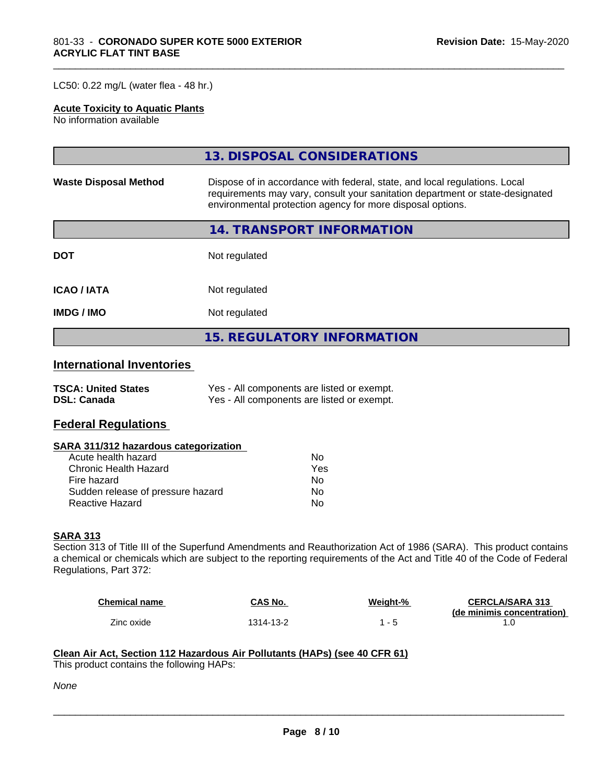#### LC50: 0.22 mg/L (water flea - 48 hr.)

#### **Acute Toxicity to Aquatic Plants**

No information available

|                              | 13. DISPOSAL CONSIDERATIONS                                                                                                                                                                                               |  |  |
|------------------------------|---------------------------------------------------------------------------------------------------------------------------------------------------------------------------------------------------------------------------|--|--|
| <b>Waste Disposal Method</b> | Dispose of in accordance with federal, state, and local regulations. Local<br>requirements may vary, consult your sanitation department or state-designated<br>environmental protection agency for more disposal options. |  |  |
|                              | <b>14. TRANSPORT INFORMATION</b>                                                                                                                                                                                          |  |  |
| <b>DOT</b>                   | Not regulated                                                                                                                                                                                                             |  |  |
| <b>ICAO/IATA</b>             | Not regulated                                                                                                                                                                                                             |  |  |
| <b>IMDG/IMO</b>              | Not regulated                                                                                                                                                                                                             |  |  |
|                              | <b>15. REGULATORY INFORMATION</b>                                                                                                                                                                                         |  |  |

\_\_\_\_\_\_\_\_\_\_\_\_\_\_\_\_\_\_\_\_\_\_\_\_\_\_\_\_\_\_\_\_\_\_\_\_\_\_\_\_\_\_\_\_\_\_\_\_\_\_\_\_\_\_\_\_\_\_\_\_\_\_\_\_\_\_\_\_\_\_\_\_\_\_\_\_\_\_\_\_\_\_\_\_\_\_\_\_\_\_\_\_\_

# **International Inventories**

| <b>TSCA: United States</b> | Yes - All components are listed or exempt. |
|----------------------------|--------------------------------------------|
| <b>DSL: Canada</b>         | Yes - All components are listed or exempt. |

# **Federal Regulations**

#### **SARA 311/312 hazardous categorization**

| Acute health hazard               | N٥  |
|-----------------------------------|-----|
| Chronic Health Hazard             | Yes |
| Fire hazard                       | N٥  |
| Sudden release of pressure hazard | N٥  |
| Reactive Hazard                   | N٥  |

#### **SARA 313**

Section 313 of Title III of the Superfund Amendments and Reauthorization Act of 1986 (SARA). This product contains a chemical or chemicals which are subject to the reporting requirements of the Act and Title 40 of the Code of Federal Regulations, Part 372:

| <b>Chemical name</b> | CAS No.   | Weight-% | <b>CERCLA/SARA 313</b>     |
|----------------------|-----------|----------|----------------------------|
|                      |           |          | (de minimis concentration) |
| Zinc oxide           | 1314-13-2 |          |                            |

 $\overline{\phantom{a}}$  ,  $\overline{\phantom{a}}$  ,  $\overline{\phantom{a}}$  ,  $\overline{\phantom{a}}$  ,  $\overline{\phantom{a}}$  ,  $\overline{\phantom{a}}$  ,  $\overline{\phantom{a}}$  ,  $\overline{\phantom{a}}$  ,  $\overline{\phantom{a}}$  ,  $\overline{\phantom{a}}$  ,  $\overline{\phantom{a}}$  ,  $\overline{\phantom{a}}$  ,  $\overline{\phantom{a}}$  ,  $\overline{\phantom{a}}$  ,  $\overline{\phantom{a}}$  ,  $\overline{\phantom{a}}$ 

#### **Clean Air Act,Section 112 Hazardous Air Pollutants (HAPs) (see 40 CFR 61)**

This product contains the following HAPs:

*None*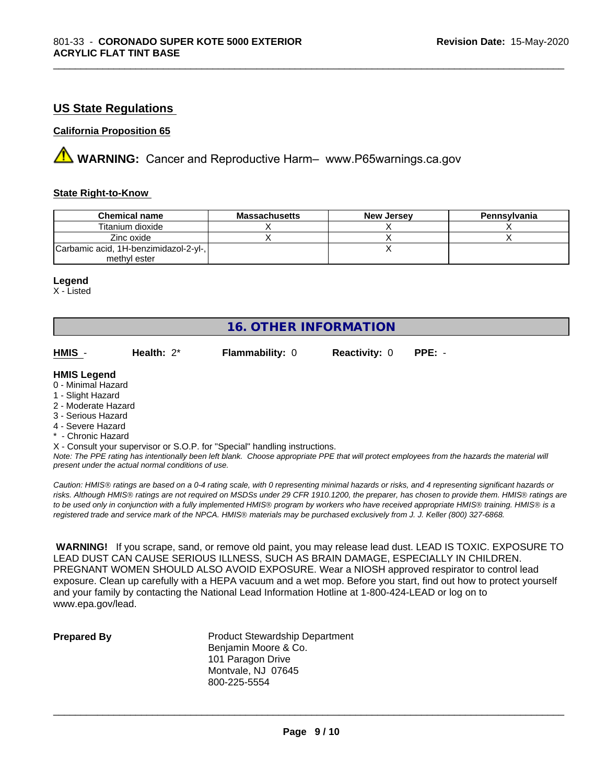# **US State Regulations**

#### **California Proposition 65**

**AVIMARNING:** Cancer and Reproductive Harm– www.P65warnings.ca.gov

#### **State Right-to-Know**

| <b>Chemical name</b>                  | <b>Massachusetts</b> | <b>New Jersey</b> | Pennsylvania |
|---------------------------------------|----------------------|-------------------|--------------|
| Titanium dioxide                      |                      |                   |              |
| Zinc oxide                            |                      |                   |              |
| Carbamic acid, 1H-benzimidazol-2-yl-, |                      |                   |              |
| methyl ester                          |                      |                   |              |

\_\_\_\_\_\_\_\_\_\_\_\_\_\_\_\_\_\_\_\_\_\_\_\_\_\_\_\_\_\_\_\_\_\_\_\_\_\_\_\_\_\_\_\_\_\_\_\_\_\_\_\_\_\_\_\_\_\_\_\_\_\_\_\_\_\_\_\_\_\_\_\_\_\_\_\_\_\_\_\_\_\_\_\_\_\_\_\_\_\_\_\_\_

#### **Legend**

X - Listed

# **16. OTHER INFORMATION**

| HMIS | Health: $2^*$ | <b>Flammability: 0</b> | <b>Reactivity: 0 PPE: -</b> |  |
|------|---------------|------------------------|-----------------------------|--|
|      |               |                        |                             |  |

#### **HMIS Legend**

- 0 Minimal Hazard
- 1 Slight Hazard
- 2 Moderate Hazard
- 3 Serious Hazard
- 4 Severe Hazard
- \* Chronic Hazard
- X Consult your supervisor or S.O.P. for "Special" handling instructions.

*Note: The PPE rating has intentionally been left blank. Choose appropriate PPE that will protect employees from the hazards the material will present under the actual normal conditions of use.*

*Caution: HMISÒ ratings are based on a 0-4 rating scale, with 0 representing minimal hazards or risks, and 4 representing significant hazards or risks. Although HMISÒ ratings are not required on MSDSs under 29 CFR 1910.1200, the preparer, has chosen to provide them. HMISÒ ratings are to be used only in conjunction with a fully implemented HMISÒ program by workers who have received appropriate HMISÒ training. HMISÒ is a registered trade and service mark of the NPCA. HMISÒ materials may be purchased exclusively from J. J. Keller (800) 327-6868.*

 **WARNING!** If you scrape, sand, or remove old paint, you may release lead dust. LEAD IS TOXIC. EXPOSURE TO LEAD DUST CAN CAUSE SERIOUS ILLNESS, SUCH AS BRAIN DAMAGE, ESPECIALLY IN CHILDREN. PREGNANT WOMEN SHOULD ALSO AVOID EXPOSURE.Wear a NIOSH approved respirator to control lead exposure. Clean up carefully with a HEPA vacuum and a wet mop. Before you start, find out how to protect yourself and your family by contacting the National Lead Information Hotline at 1-800-424-LEAD or log on to www.epa.gov/lead.

**Prepared By** Product Stewardship Department Benjamin Moore & Co. 101 Paragon Drive Montvale, NJ 07645 800-225-5554